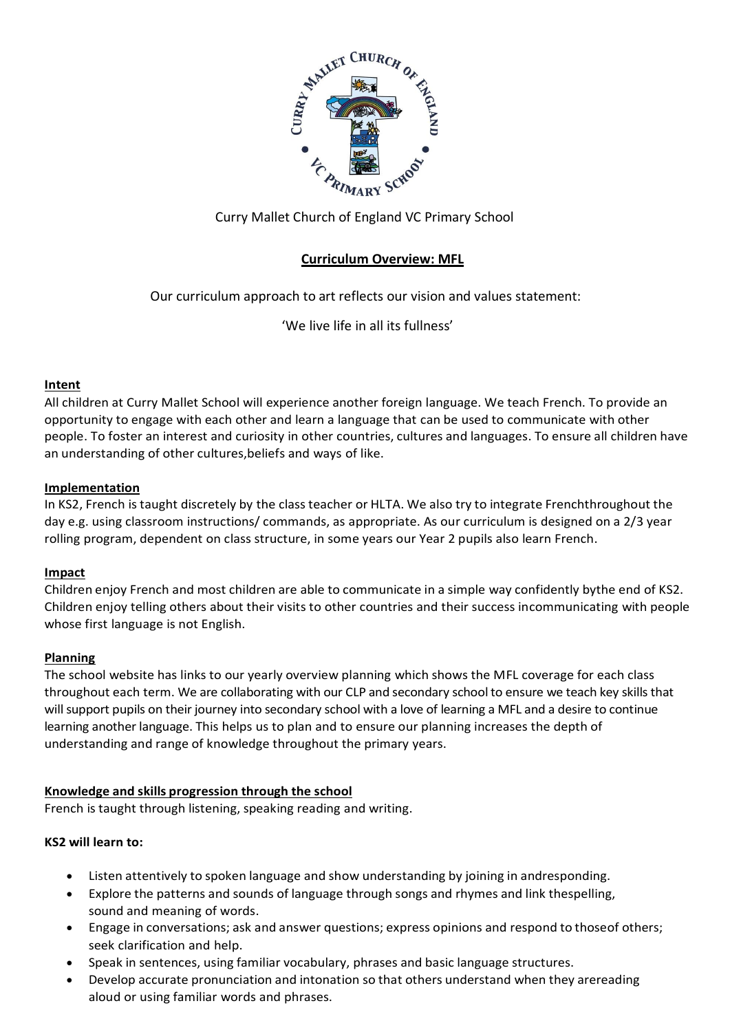

# Curry Mallet Church of England VC Primary School

# **Curriculum Overview: MFL**

Our curriculum approach to art reflects our vision and values statement:

'We live life in all its fullness'

#### **Intent**

All children at Curry Mallet School will experience another foreign language. We teach French. To provide an opportunity to engage with each other and learn a language that can be used to communicate with other people. To foster an interest and curiosity in other countries, cultures and languages. To ensure all children have an understanding of other cultures,beliefs and ways of like.

#### **Implementation**

In KS2, French is taught discretely by the class teacher or HLTA. We also try to integrate Frenchthroughout the day e.g. using classroom instructions/ commands, as appropriate. As our curriculum is designed on a 2/3 year rolling program, dependent on class structure, in some years our Year 2 pupils also learn French.

#### **Impact**

Children enjoy French and most children are able to communicate in a simple way confidently bythe end of KS2. Children enjoy telling others about their visits to other countries and their success incommunicating with people whose first language is not English.

#### **Planning**

The school website has links to our yearly overview planning which shows the MFL coverage for each class throughout each term. We are collaborating with our CLP and secondary school to ensure we teach key skills that will support pupils on their journey into secondary school with a love of learning a MFL and a desire to continue learning another language. This helps us to plan and to ensure our planning increases the depth of understanding and range of knowledge throughout the primary years.

#### **Knowledge and skills progression through the school**

French is taught through listening, speaking reading and writing.

#### **KS2 will learn to:**

- Listen attentively to spoken language and show understanding by joining in andresponding.
- Explore the patterns and sounds of language through songs and rhymes and link thespelling, sound and meaning of words.
- Engage in conversations; ask and answer questions; express opinions and respond to thoseof others; seek clarification and help.
- Speak in sentences, using familiar vocabulary, phrases and basic language structures.
- Develop accurate pronunciation and intonation so that others understand when they arereading aloud or using familiar words and phrases.